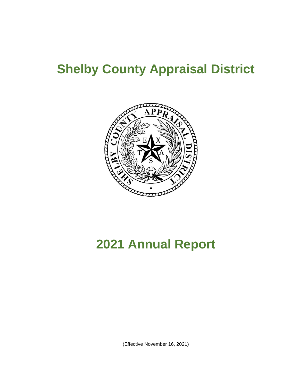# **Shelby County Appraisal District**



# **2021 Annual Report**

(Effective November 16, 2021)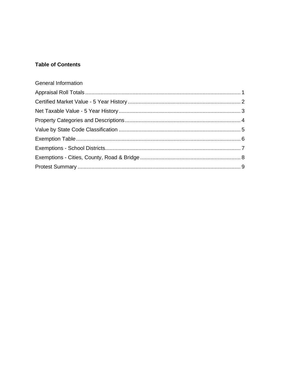#### **Table of Contents**

| General Information |  |
|---------------------|--|
|                     |  |
|                     |  |
|                     |  |
|                     |  |
|                     |  |
|                     |  |
|                     |  |
|                     |  |
|                     |  |
|                     |  |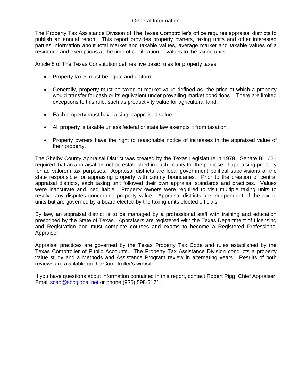#### General Information

The Property Tax Assistance Division of The Texas Comptroller's office requires appraisal districts to publish an annual report. This report provides property owners, taxing units and other interested parties information about total market and taxable values, average market and taxable values of a residence and exemptions at the time of certification of values to the taxing units.

Article 8 of The Texas Constitution defines five basic rules for property taxes:

- Property taxes must be equal and uniform.
- Generally, property must be taxed at market value defined as "the price at which a property would transfer for cash or its equivalent under prevailing market conditions". There are limited exceptions to this rule, such as productivity value for agricultural land.
- Each property must have a single appraised value.
- All property is taxable unless federal or state law exempts it from taxation.
- Property owners have the right to reasonable notice of increases in the appraised value of their property.

The Shelby County Appraisal District was created by the Texas Legislature in 1979. Senate Bill 621 required that an appraisal district be established in each county for the purpose of appraising property for ad valorem tax purposes. Appraisal districts are local government political subdivisions of the state responsible for appraising property with county boundaries. Prior to the creation of central appraisal districts, each taxing unit followed their own appraisal standards and practices. Values were inaccurate and inequitable. Property owners were required to visit multiple taxing units to resolve any disputes concerning property value. Appraisal districts are independent of the taxing units but are governed by a board elected by the taxing units elected officials.

By law, an appraisal district is to be managed by a professional staff with training and education prescribed by the State of Texas. Appraisers are registered with the Texas Department of Licensing and Registration and must complete courses and exams to become a Registered Professional Appraiser.

Appraisal practices are governed by the Texas Property Tax Code and rules established by the Texas Comptroller of Public Accounts. The Property Tax Assistance Division conducts a property value study and a Methods and Assistance Program review in alternating years. Results of both reviews are available on the Comptroller's website.

If you have questions about information contained in this report, contact Robert Pigg, Chief Appraiser. Email [scad@sbcglobal.net](mailto:scad@sbcglobal.net) or phone (936) 598-6171.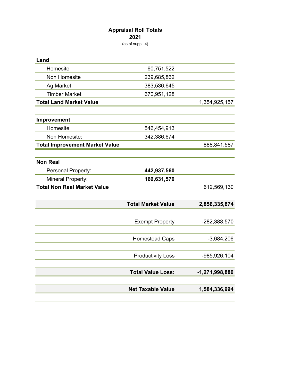### **Appraisal Roll Totals**

**2021**

(as of suppl. 4)

| Land                                  |                           |                |
|---------------------------------------|---------------------------|----------------|
| Homesite:                             | 60,751,522                |                |
| Non Homesite                          | 239,685,862               |                |
| <b>Ag Market</b>                      | 383,536,645               |                |
| <b>Timber Market</b>                  | 670,951,128               |                |
| <b>Total Land Market Value</b>        |                           | 1,354,925,157  |
| Improvement                           |                           |                |
| Homesite:                             | 546,454,913               |                |
| Non Homesite:                         | 342,386,674               |                |
| <b>Total Improvement Market Value</b> |                           | 888,841,587    |
|                                       |                           |                |
| <b>Non Real</b>                       |                           |                |
| Personal Property:                    | 442,937,560               |                |
| <b>Mineral Property:</b>              | 169,631,570               |                |
| <b>Total Non Real Market Value</b>    |                           | 612,569,130    |
|                                       |                           |                |
|                                       | <b>Total Market Value</b> | 2,856,335,874  |
|                                       |                           |                |
|                                       | <b>Exempt Property</b>    | -282,388,570   |
|                                       | <b>Homestead Caps</b>     | $-3,684,206$   |
|                                       |                           |                |
|                                       | <b>Productivity Loss</b>  | -985,926,104   |
|                                       | <b>Total Value Loss:</b>  | -1,271,998,880 |
|                                       | <b>Net Taxable Value</b>  | 1,584,336,994  |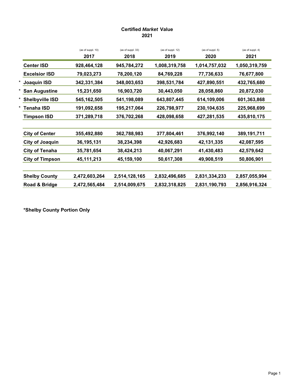#### **Certified** *Market* **Value 2021**

|                        | (as of suppl. 10) | (as of suppl. 33) | (as of suppl. 12) | (as of suppl. 5) | (as of suppl. 4) |
|------------------------|-------------------|-------------------|-------------------|------------------|------------------|
|                        | 2017              | 2018              | 2019              | 2020             | 2021             |
| <b>Center ISD</b>      | 928,464,128       | 945,784,272       | 1,008,319,758     | 1,014,757,032    | 1,050,319,759    |
| <b>Excelsior ISD</b>   | 79,023,273        | 78,200,120        | 84,769,228        | 77,736,633       | 76,677,800       |
| Joaquin ISD            | 342,331,384       | 348,003,653       | 398,531,784       | 427,890,551      | 432,765,680      |
| <b>San Augustine</b>   | 15,231,650        | 16,903,720        | 30,443,050        | 28,058,860       | 20,872,030       |
| <b>Shelbyville ISD</b> | 545, 162, 505     | 541,198,089       | 643,807,445       | 614,109,006      | 601,363,868      |
| Tenaha ISD             | 191,092,658       | 195,217,064       | 226,798,977       | 230, 104, 635    | 225,968,699      |
| <b>Timpson ISD</b>     | 371,289,718       | 376,702,268       | 428,098,658       | 427,281,535      | 435,810,175      |
|                        |                   |                   |                   |                  |                  |
| <b>City of Center</b>  | 355,492,880       | 362,788,983       | 377,804,461       | 376,992,140      | 389,191,711      |
| <b>City of Joaquin</b> | 36, 195, 131      | 38,234,398        | 42,926,683        | 42, 131, 335     | 42,087,595       |
| <b>City of Tenaha</b>  | 35,781,654        | 38,424,213        | 40,067,291        | 41,430,483       | 42,579,642       |
| <b>City of Timpson</b> | 45,111,213        | 45,159,100        | 50,617,308        | 49,908,519       | 50,806,901       |
|                        |                   |                   |                   |                  |                  |
| <b>Shelby County</b>   | 2,472,603,264     | 2,514,128,165     | 2,832,496,685     | 2,831,334,233    | 2,857,055,994    |
| Road & Bridge          | 2,472,565,484     | 2,514,009,675     | 2,832,318,825     | 2,831,190,793    | 2,856,916,324    |
|                        |                   |                   |                   |                  |                  |

**\*Shelby County Portion Only**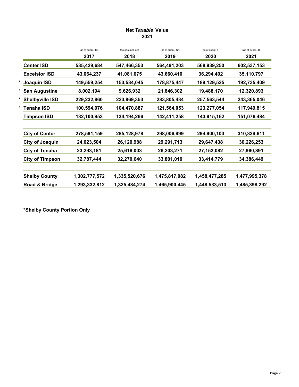#### **2021 Net** *Taxable* **Value**

|                        | (as of suppl. 10) | (as of suppl. 33) | (as of suppl. 12) | (as of suppl. 5) | (as of suppl. 4) |
|------------------------|-------------------|-------------------|-------------------|------------------|------------------|
|                        | 2017              | 2018              | 2019              | 2020             | 2021             |
| <b>Center ISD</b>      | 535,429,684       | 547,466,353       | 564,491,203       | 568,939,250      | 602,537,153      |
| <b>Excelsior ISD</b>   | 43,064,237        | 41,081,075        | 43,660,410        | 36,294,402       | 35,110,797       |
| Joaquin ISD            | 149,559,254       | 153,534,045       | 178,875,447       | 189,129,525      | 192,735,409      |
| <b>San Augustine</b>   | 8,002,194         | 9,626,932         | 21,846,302        | 19,488,170       | 12,320,893       |
| <b>Shelbyville ISD</b> | 229,232,860       | 223,869,353       | 283,805,434       | 257,563,544      | 243,365,046      |
| Tenaha ISD             | 100,594,076       | 104,470,887       | 121,564,053       | 123,277,054      | 117,949,815      |
| <b>Timpson ISD</b>     | 132,100,953       | 134,194,266       | 142,411,258       | 143,915,162      | 151,076,484      |
|                        |                   |                   |                   |                  |                  |
| <b>City of Center</b>  | 278,591,159       | 285, 128, 978     | 298,006,999       | 294,900,103      | 310,339,611      |
| <b>City of Joaquin</b> | 24,023,504        | 26,120,988        | 29,291,713        | 29,647,438       | 30,226,253       |
| <b>City of Tenaha</b>  | 23,293,181        | 25,618,003        | 26,203,271        | 27, 152, 082     | 27,960,891       |
| <b>City of Timpson</b> | 32,787,444        | 32,270,640        | 33,801,010        | 33,414,779       | 34,386,449       |
|                        |                   |                   |                   |                  |                  |
| <b>Shelby County</b>   | 1,302,777,572     | 1,335,520,676     | 1,475,817,082     | 1,458,477,285    | 1,477,995,378    |
| Road & Bridge          | 1,293,332,812     | 1,325,484,274     | 1,465,900,445     | 1,448,533,513    | 1,485,398,292    |
|                        |                   |                   |                   |                  |                  |

**\*Shelby County Portion Only**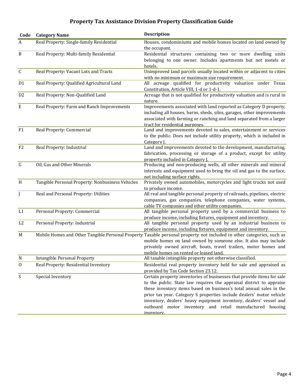### **Property Tax Assistance Division Property Classification Guide**

| Code           | <b>Category Name</b>                             | <b>Description</b>                                                                                                    |
|----------------|--------------------------------------------------|-----------------------------------------------------------------------------------------------------------------------|
| A              | Real Property: Single-family Residential         | Houses, condominiums and mobile homes located on land owned by                                                        |
|                |                                                  | the occupant.                                                                                                         |
| $\, {\bf B}$   | Real Property: Multi-family Residential          | Residential structures containing two or more dwelling units                                                          |
|                |                                                  | belonging to one owner. Includes apartments but not motels or                                                         |
|                |                                                  | hotels.                                                                                                               |
| $\mathsf C$    | Real Property: Vacant Lots and Tracts            | Unimproved land parcels usually located within or adjacent to cities                                                  |
|                |                                                  | with no minimum or maximum size requirement.                                                                          |
| D <sub>1</sub> | Real Property: Qualified Agricultural Land       | All acreage qualified for productivity valuation under Texas                                                          |
|                |                                                  | Constitution, Article VIII, 1-d or 1-d-1.                                                                             |
| D <sub>2</sub> | Real Property: Non-Qualified Land                | Acreage that is not qualified for productivity valuation and is rural in                                              |
|                |                                                  | nature.                                                                                                               |
| $\mathbf E$    | Real Property: Farm and Ranch Improvements       | Improvements associated with land reported as Category D property,                                                    |
|                |                                                  | including all houses, barns, sheds, silos, garages, other improvements                                                |
|                |                                                  | associated with farming or ranching and land separated from a larger                                                  |
|                |                                                  | tract for residential purposes.                                                                                       |
| F1             | Real Property: Commercial                        | Land and improvements devoted to sales, entertainment or services                                                     |
|                |                                                  | to the public. Does not include utility property, which is included in                                                |
|                |                                                  | Category J.                                                                                                           |
| F <sub>2</sub> | Real Property: Industrial                        | Land and improvements devoted to the development, manufacturing,                                                      |
|                |                                                  | fabrication, processing or storage of a product, except for utility                                                   |
| $\mathsf G$    |                                                  | property included in Category J.                                                                                      |
|                | Oil, Gas and Other Minerals                      | Producing and non-producing wells, all other minerals and mineral                                                     |
|                |                                                  | interests and equipment used to bring the oil and gas to the surface,                                                 |
| H              |                                                  | not including surface rights.                                                                                         |
|                | Tangible Personal Property: Nonbusiness Vehicles | Privately owned automobiles, motorcycles and light trucks not used                                                    |
|                | Real and Personal Property: Utilities            | to produce income.<br>All real and tangible personal property of railroads, pipelines, electric                       |
| J              |                                                  | companies, gas companies, telephone companies, water systems,                                                         |
|                |                                                  | cable TV companies and other utility companies.                                                                       |
| L1             | Personal Property: Commercial                    | All tangible personal property used by a commercial business to                                                       |
|                |                                                  | produce income, including fixtures, equipment and inventory.                                                          |
| L2             | Personal Property: Industrial                    | All tangible personal property used by an industrial business to                                                      |
|                |                                                  | produce income, including fixtures, equipment and inventory.                                                          |
| M              |                                                  | Mobile Homes and Other Tangible Personal Property Taxable personal property not included in other categories, such as |
|                |                                                  | mobile homes on land owned by someone else. It also may include                                                       |
|                |                                                  | privately owned aircraft, boats, travel trailers, motor homes and                                                     |
|                |                                                  | mobile homes on rented or leased land.                                                                                |
| $\mathbf N$    | <b>Intangible Personal Property</b>              | All taxable intangible property not otherwise classified.                                                             |
| $\mathbf{0}$   | Real Property: Residential Inventory             | Residential real property inventory held for sale and appraised as                                                    |
|                |                                                  | provided by Tax Code Section 23.12.                                                                                   |
| S              | Special Inventory                                | Certain property inventories of businesses that provide items for sale                                                |
|                |                                                  | to the public. State law requires the appraisal district to appraise                                                  |
|                |                                                  | these inventory items based on business's total annual sales in the                                                   |
|                |                                                  | prior tax year. Category S properties include dealers' motor vehicle                                                  |
|                |                                                  | inventory, dealers' heavy equipment inventory, dealers' vessel and                                                    |
|                |                                                  | outboard motor inventory and retail manufactured housing                                                              |
|                |                                                  | inventory                                                                                                             |
|                |                                                  |                                                                                                                       |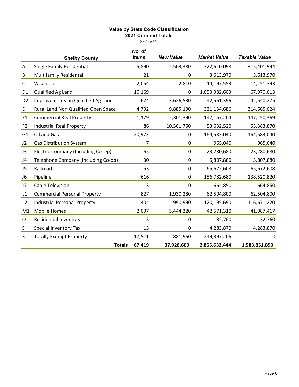#### **Value by State Code Classification 2021 Certified Totals**

(as of suppl. 3)

|                | <b>Shelby County</b>                | No. of<br><b>Items</b> | <b>New Value</b> | <b>Market Value</b> | <b>Taxable Value</b> |
|----------------|-------------------------------------|------------------------|------------------|---------------------|----------------------|
| Α              | <b>Single Family Residential</b>    | 5,890                  | 2,503,380        | 322,610,098         | 315,401,994          |
| B              | Multifamily Residentail             | 21                     | 0                | 3,613,970           | 3,613,970            |
| С              | Vacant Lot                          | 2,054                  | 2,810            | 14,197,553          | 14,151,393           |
| D <sub>1</sub> | Qualified Ag Land                   | 10,169                 | 0                | 1,053,982,603       | 67,970,013           |
| D <sub>2</sub> | Improvements on Qualified Ag Land   | 624                    | 3,626,530        | 42,561,396          | 42,540,275           |
| E              | Rural Land Non Qualified Open Space | 4,792                  | 9,885,190        | 321,134,686         | 314,665,024          |
| F <sub>1</sub> | <b>Commercial Real Property</b>     | 1,179                  | 2,301,390        | 147,157,204         | 147,150,369          |
| F <sub>2</sub> | <b>Industrial Real Property</b>     | 86                     | 10,361,750       | 53,632,520          | 53,383,870           |
| G <sub>1</sub> | Oil and Gas                         | 20,973                 | 0                | 164,583,040         | 164,583,040          |
| J2             | <b>Gas Distribution System</b>      | 7                      | 0                | 965,040             | 965,040              |
| J3             | Electric Company (Including Co-Op)  | 65                     | 0                | 23,280,680          | 23,280,680           |
| J4             | Telephone Company (Including Co-op) | 30                     | 0                | 5,807,880           | 5,807,880            |
| J5             | Railroad                            | 53                     | 0                | 65,672,608          | 65,672,608           |
| J6             | Pipeline                            | 616                    | 0                | 156,782,680         | 138,520,820          |
| J7             | <b>Cable Television</b>             | 3                      | 0                | 664,850             | 664,850              |
| L1             | <b>Commercial Personal Property</b> | 827                    | 1,930,280        | 62,504,800          | 62,504,800           |
| L2             | <b>Industrial Personal Property</b> | 404                    | 990,990          | 120,195,690         | 116,671,220          |
| M1             | <b>Mobile Homes</b>                 | 2,097                  | 5,444,320        | 42,571,310          | 41,987,417           |
| O              | <b>Residential Inventory</b>        | 3                      | 0                | 32,760              | 32,760               |
| S              | Special Inventory Tax               | 15                     | 0                | 4,283,870           | 4,283,870            |
| х              | <b>Totally Exempt Property</b>      | 17,511                 | 881,960          | 249,397,206         | 0                    |
|                | <b>Totals</b>                       | 67,419                 | 37,928,600       | 2,855,632,444       | 1,583,851,893        |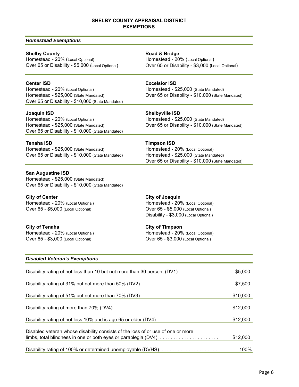#### **SHELBY COUNTY APPRAISAL DISTRICT EXEMPTIONS**

| <b>Homestead Exemptions</b>                                                                                                                         |                                                                                                                                                      |          |
|-----------------------------------------------------------------------------------------------------------------------------------------------------|------------------------------------------------------------------------------------------------------------------------------------------------------|----------|
| <b>Shelby County</b><br>Homestead - 20% (Local Optional)<br>Over 65 or Disability - \$5,000 (Local Optional)                                        | Road & Bridge<br>Homestead - 20% (Local Optional)<br>Over 65 or Disability - \$3,000 (Local Optional)                                                |          |
| <b>Center ISD</b><br>Homestead - 20% (Local Optional)<br>Homestead - \$25,000 (State Mandated)<br>Over 65 or Disability - \$10,000 (State Mandated) | <b>Excelsior ISD</b><br>Homestead - \$25,000 (State Mandated)<br>Over 65 or Disability - \$10,000 (State Mandated)                                   |          |
| Joaquin ISD<br>Homestead - 20% (Local Optional)<br>Homestead - \$25,000 (State Mandated)<br>Over 65 or Disability - \$10,000 (State Mandated)       | <b>Shelbyville ISD</b><br>Homestead - \$25,000 (State Mandated)<br>Over 65 or Disability - \$10,000 (State Mandated)                                 |          |
| <b>Tenaha ISD</b><br>Homestead - \$25,000 (State Mandated)<br>Over 65 or Disability - \$10,000 (State Mandated)                                     | <b>Timpson ISD</b><br>Homestead - 20% (Local Optional)<br>Homestead - \$25,000 (State Mandated)<br>Over 65 or Disability - \$10,000 (State Mandated) |          |
| <b>San Augustine ISD</b><br>Homestead - \$25,000 (State Mandated)<br>Over 65 or Disability - \$10,000 (State Mandated)                              |                                                                                                                                                      |          |
| <b>City of Center</b><br>Homestead - 20% (Local Optional)<br>Over 65 - \$5,000 (Local Optional)                                                     | <b>City of Joaquin</b><br>Homestead - 20% (Local Optional)<br>Over 65 - \$5,000 (Local Optional)<br>Disability - \$3,000 (Local Optional)            |          |
| <b>City of Tenaha</b><br>Homestead - 20% (Local Optional)<br>Over 65 - \$3,000 (Local Optional)                                                     | <b>City of Timpson</b><br>Homestead - 20% (Local Optional)<br>Over 65 - \$3,000 (Local Optional)                                                     |          |
| <b>Disabled Veteran's Exemptions</b>                                                                                                                |                                                                                                                                                      |          |
| Disability rating of not less than 10 but not more than 30 percent (DV1).                                                                           |                                                                                                                                                      | \$5,000  |
|                                                                                                                                                     |                                                                                                                                                      | \$7,500  |
|                                                                                                                                                     |                                                                                                                                                      | \$10,000 |
|                                                                                                                                                     |                                                                                                                                                      | \$12,000 |
|                                                                                                                                                     |                                                                                                                                                      | \$12,000 |
| Disabled veteran whose disability consists of the loss of or use of one or more<br>limbs, total blindness in one or both eyes or paraplegia (DV4).  |                                                                                                                                                      | \$12,000 |

Disability rating of 100% or determined unemployable (DVHS). . . . . . . . . . . . . . . . . . . . . . 100%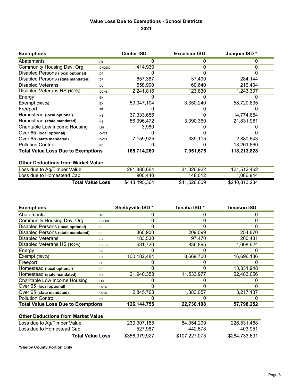#### **Value Loss Due to Exemptions - School Districts 2021**

| <b>Exemptions</b>                         |             | <b>Center ISD</b> | <b>Excelsior ISD</b> | Joaquin ISD* |  |
|-------------------------------------------|-------------|-------------------|----------------------|--------------|--|
| Abatements                                | AB          |                   |                      |              |  |
| Community Housing Dev. Org.               | CHODO       | 1,414,930         | 0                    | 0            |  |
| Disabled Persons (local optional)         | <b>DP</b>   |                   |                      | 0            |  |
| Disabled Persons (state mandated)         | <b>DP</b>   | 657,387           | 37,490               | 284,144      |  |
| Disabled Veterans                         | <b>DV</b>   | 558,990           | 60,640               | 216,404      |  |
| Disabled Veterans HS (100%)               | <b>DVHS</b> | 2,241,816         | 123,830              | 1,243,307    |  |
| Energy                                    | EN          |                   |                      |              |  |
| Exempt (100%)                             | EX          | 59,947,104        | 3,350,240            | 58,720,835   |  |
| Freeport                                  | <b>FP</b>   |                   |                      |              |  |
| Homestead (local optional)                | <b>HS</b>   | 37,333,656        | 0                    | 14,774,654   |  |
| Homestead (state mandated)                | HS          | 56,396,472        | 3,090,360            | 21,831,981   |  |
| Charitable Low Income Housing             | LIH         | 3,980             |                      |              |  |
| Over 65 (local optional)                  | OV65        |                   |                      | 0            |  |
| Over 65 (state mandated)                  | OV65        | 7,159,925         | 389,115              | 2,880,643    |  |
| <b>Pollution Control</b>                  | PC.         |                   |                      | 18,261,860   |  |
| <b>Total Value Loss Due to Exemptions</b> |             | 165,714,260       | 7,051,675            | 118,213,828  |  |

#### **Other Deductions from Market Value**

| WWI PYMMYNYIIV II VIII IIIMIINYL TMIMY |               |              |               |
|----------------------------------------|---------------|--------------|---------------|
| Loss due to Ag/Timber Value            | 281.880.664   | 34.326.922   | 121.512.462   |
| Loss due to Homestead Cap              | 900.440       | 148.012      | .086.944      |
| Total Value Loss                       | \$448,495,364 | \$41,526,609 | \$240,813,234 |

| <b>Exemptions</b>                         |             | Shelbyville ISD* | Tenaha ISD* | <b>Timpson ISD</b> |
|-------------------------------------------|-------------|------------------|-------------|--------------------|
| Abatements                                | AB          |                  |             |                    |
| Community Housing Dev. Org.               | CHODO       |                  |             |                    |
| Disabled Persons (local optional)         | <b>DP</b>   |                  |             |                    |
| Disabled Persons (state mandated)         | <b>DP</b>   | 360,900          | 209,099     | 254,870            |
| Disabled Veterans                         | <b>DV</b>   | 183,530          | 97,470      | 206,481            |
| Disabled Veterans HS (100%)               | <b>DVHS</b> | 631,720          | 836,895     | 1,608,624          |
| Energy                                    | EN          |                  |             |                    |
| Exempt (100%)                             | EX          | 100,182,484      | 8,669,700   | 16,696,136         |
| Freeport                                  | <b>FP</b>   |                  |             |                    |
| Homestead (local optional)                | HS          |                  | 0           | 13,331,948         |
| Homestead (state mandated)                | HS          | 21,940,358       | 11,533,977  | 22,483,056         |
| Charitable Low Income Housing             | LIH         |                  |             |                    |
| Over 65 (local optional)                  | OV65        |                  |             |                    |
| Over 65 (state mandated)                  | <b>OV65</b> | 2,845,763        | 1,383,057   | 3,217,137          |
| <b>Pollution Control</b>                  | PC.         |                  |             |                    |
| <b>Total Value Loss Due to Exemptions</b> |             | 126,144,755      | 22,730,198  | 57,798,252         |

#### **Other Deductions from Market Value**

| Loss due to Ag/Timber Value | 230.307.185   | 84.054.299    | 226.531.488   |
|-----------------------------|---------------|---------------|---------------|
| Loss due to Homestead Cap   | 527.987       | 442.578       | 403.951       |
| <b>Total Value Loss</b>     | \$356,979,927 | \$107,227,075 | \$284,733,691 |

**\*Shelby County Portion Only**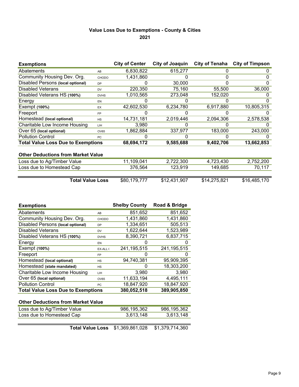#### **Value Loss Due to Exemptions - County & Cities 2021**

| <b>Exemptions</b>                         |             | <b>City of Center</b> | <b>City of Joaquin</b> | <b>City of Tenaha</b> | <b>City of Timpson</b> |
|-------------------------------------------|-------------|-----------------------|------------------------|-----------------------|------------------------|
| Abatements                                | AB          | 6,830,822             | 615,277                | O                     |                        |
| Community Housing Dev. Org.               | CHODO       | 1,431,860             |                        | 0                     |                        |
| Disabled Persons (local optional)         | <b>DP</b>   |                       | 30,000                 | ი                     | 0                      |
| Disabled Veterans                         | <b>DV</b>   | 220,350               | 75,160                 | 55,500                | 36,000                 |
| Disabled Veterans HS (100%)               | <b>DVHS</b> | 1,010,565             | 273,048                | 152,020               |                        |
| Energy                                    | EN          |                       |                        |                       |                        |
| Exempt (100%)                             | <b>EX</b>   | 42,602,530            | 6,234,780              | 6,917,880             | 10,805,315             |
| Freeport                                  | <b>FP</b>   |                       |                        |                       |                        |
| Homestead (local optional)                | HS          | 14,731,181            | 2,019,446              | 2,094,306             | 2,578,538              |
| Charitable Low Income Housing             | LIH         | 3,980                 | $\Omega$               | O                     | $\mathbf{0}$           |
| Over 65 (local optional)                  | OV65        | 1,862,884             | 337,977                | 183,000               | 243,000                |
| <b>Pollution Control</b>                  | PC.         |                       |                        |                       |                        |
| <b>Total Value Loss Due to Exemptions</b> |             | 68,694,172            | 9,585,688              | 9,402,706             | 13,662,853             |
| <b>Other Deductions from Market Value</b> |             |                       |                        |                       |                        |

| Loss due to Ag/Timber Value | 11.109.041   | 2.722.300    | 4.723.430    | 2,752,200    |
|-----------------------------|--------------|--------------|--------------|--------------|
| Loss due to Homestead Cap   | 376.564      | 123.919      | 149.685      | 70.117       |
|                             |              |              |              |              |
| <b>Total Value Loss</b>     | \$80,179,777 | \$12,431,907 | \$14,275,821 | \$16,485,170 |

| <b>Exemptions</b>                         |             | <b>Shelby County</b> | Road & Bridge |
|-------------------------------------------|-------------|----------------------|---------------|
| Abatements                                | AB          | 851,652              | 851,652       |
| Community Housing Dev. Org.               | CHODO       | 1,431,860            | 1,431,860     |
| Disabled Persons (local optional)         | <b>DP</b>   | 1,334,651            | 505,513       |
| Disabled Veterans                         | <b>DV</b>   | 1,622,644            | 1,523,989     |
| Disabled Veterans HS (100%)               | <b>DVHS</b> | 8,390,721            | 6,837,715     |
| Energy                                    | EN          |                      | $\Omega$      |
| Exempt (100%)                             | EX-ALL (    | 241,195,515          | 241, 195, 515 |
| Freeport                                  | <b>FP</b>   |                      | $\mathbf{0}$  |
| Homestead (local optional)                | HS          | 94,740,381           | 95,909,395    |
| Homestead (state mandated)                | HS          |                      | 18,303,200    |
| Charitable Low Income Housing             | LIH         | 3,980                | 3,980         |
| Over 65 (local optional)                  | <b>OV65</b> | 11,633,194           | 4,495,111     |
| <b>Pollution Control</b>                  | PC.         | 18,847,920           | 18,847,920    |
| <b>Total Value Loss Due to Exemptions</b> |             | 380,052,518          | 389,905,850   |

#### **Other Deductions from Market Value**

| <u>shiyi buunununu ilyiii muhayee ahay</u> |             |             |
|--------------------------------------------|-------------|-------------|
| Loss due to Ag/Timber Value                | 986.195.362 | 986.195.362 |
| Loss due to Homestead Cap                  | 3.613.148   | 3.613.148   |
|                                            |             |             |

**Total Value Loss** \$1,369,861,028 \$1,379,714,360